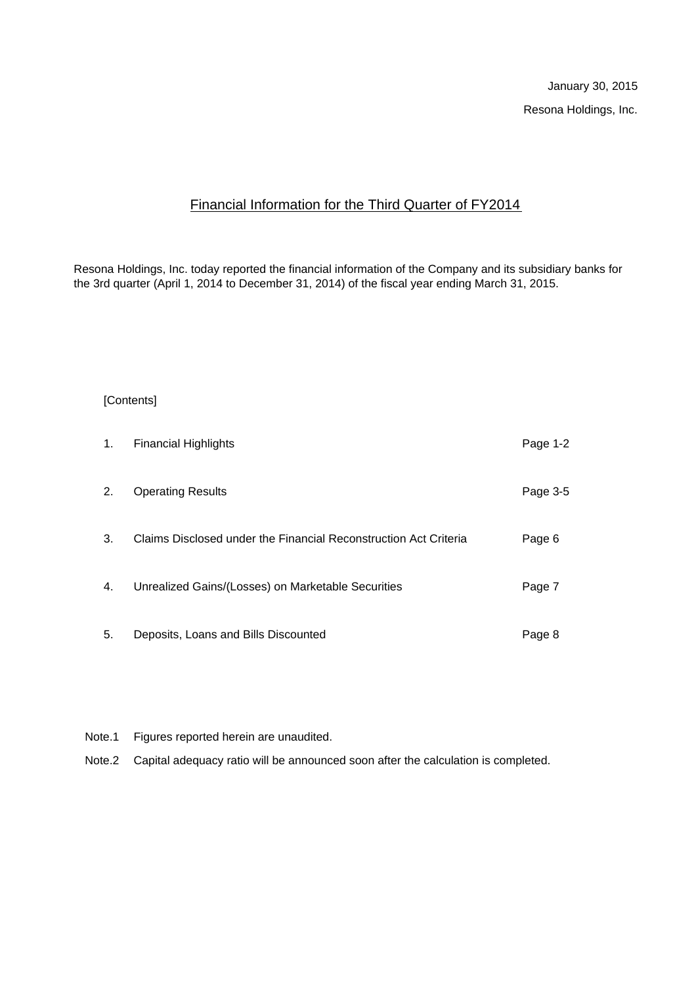# Financial Information for the Third Quarter of FY2014

Resona Holdings, Inc. today reported the financial information of the Company and its subsidiary banks for the 3rd quarter (April 1, 2014 to December 31, 2014) of the fiscal year ending March 31, 2015.

### [Contents]

| 1. | <b>Financial Highlights</b>                                      | Page 1-2 |
|----|------------------------------------------------------------------|----------|
| 2. | <b>Operating Results</b>                                         | Page 3-5 |
| 3. | Claims Disclosed under the Financial Reconstruction Act Criteria | Page 6   |
| 4. | Unrealized Gains/(Losses) on Marketable Securities               | Page 7   |
| 5. | Deposits, Loans and Bills Discounted                             | Page 8   |

- Note.1 Figures reported herein are unaudited.
- Note.2 Capital adequacy ratio will be announced soon after the calculation is completed.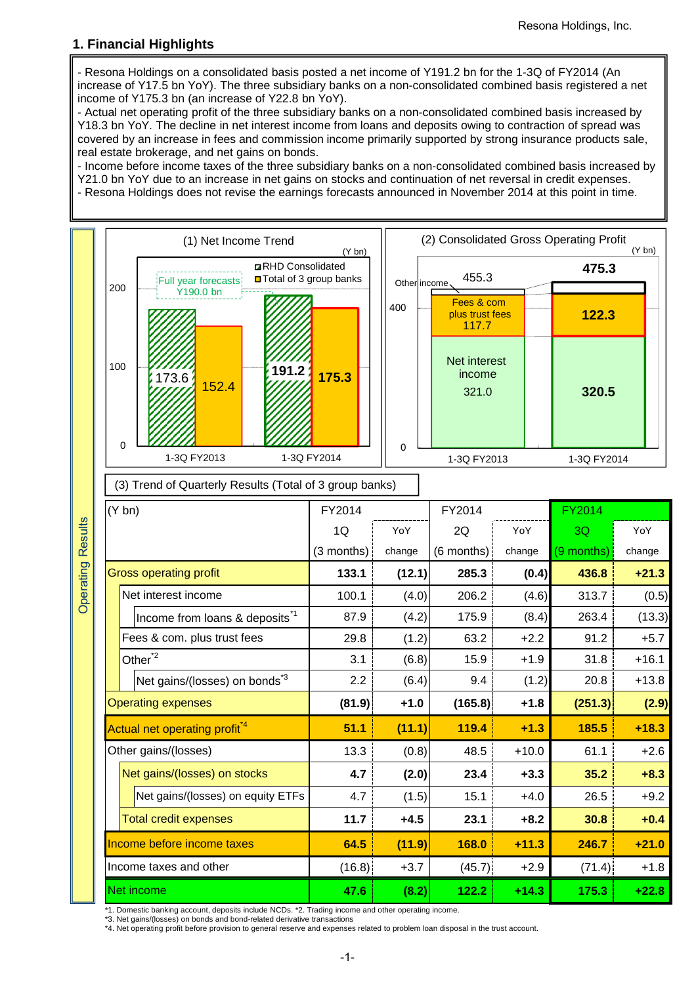## **1. Financial Highlights**

- Resona Holdings on a consolidated basis posted a net income of Y191.2 bn for the 1-3Q of FY2014 (An increase of Y17.5 bn YoY). The three subsidiary banks on a non-consolidated combined basis registered a net income of Y175.3 bn (an increase of Y22.8 bn YoY).

- Actual net operating profit of the three subsidiary banks on a non-consolidated combined basis increased by Y18.3 bn YoY. The decline in net interest income from loans and deposits owing to contraction of spread was covered by an increase in fees and commission income primarily supported by strong insurance products sale, real estate brokerage, and net gains on bonds.

- Income before income taxes of the three subsidiary banks on a non-consolidated combined basis increased by Y21.0 bn YoY due to an increase in net gains on stocks and continuation of net reversal in credit expenses. - Resona Holdings does not revise the earnings forecasts announced in November 2014 at this point in time.



\*1. Domestic banking account, deposits include NCDs. \*2. Trading income and other operating income.

\*3. Net gains/(losses) on bonds and bond-related derivative transactions

\*4. Net operating profit before provision to general reserve and expenses related to problem loan disposal in the trust account.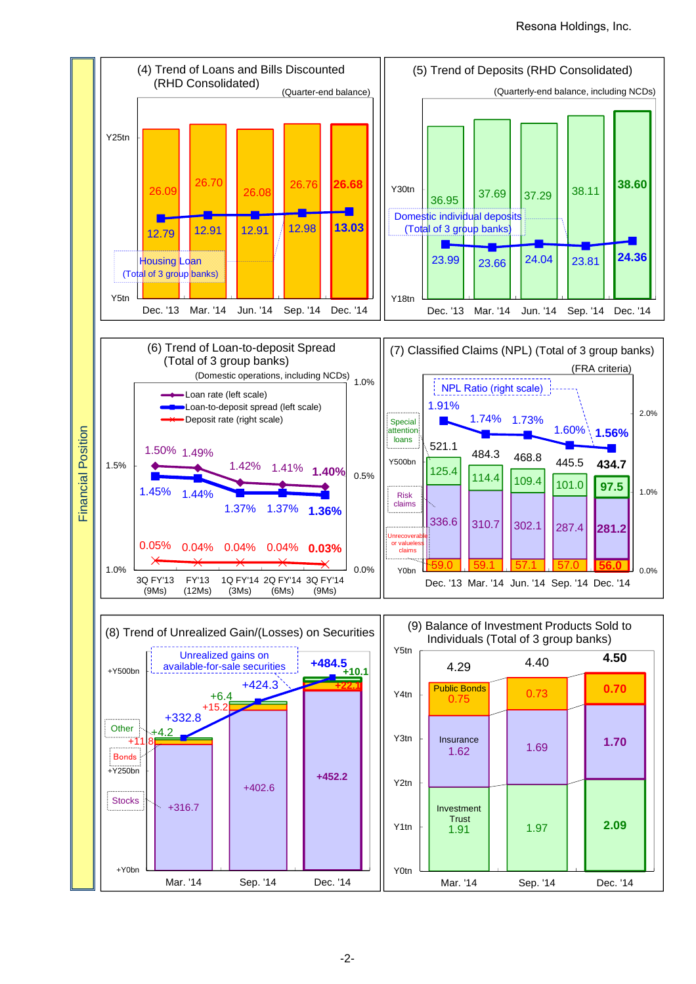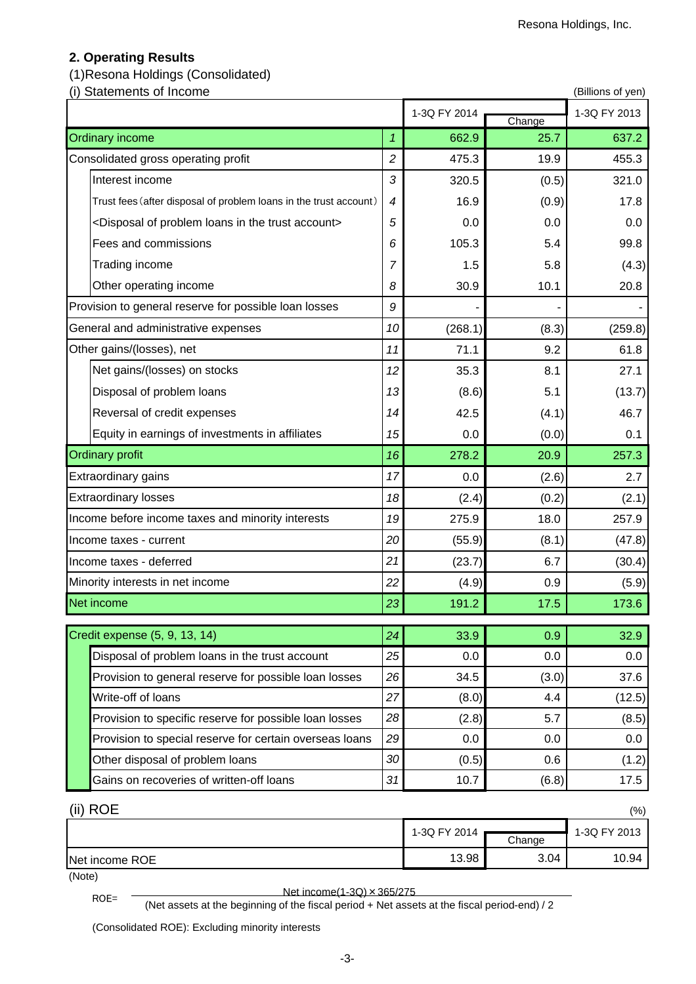# **2. Operating Results**

# (1)Resona Holdings (Consolidated)

(i) Statements of Income (Billions of yen)

|                                                                                  |                | 1-3Q FY 2014 | Change | 1-3Q FY 2013 |
|----------------------------------------------------------------------------------|----------------|--------------|--------|--------------|
| <b>Ordinary income</b>                                                           | $\mathbf{1}$   | 662.9        | 25.7   | 637.2        |
| Consolidated gross operating profit                                              | $\overline{c}$ | 475.3        | 19.9   | 455.3        |
| Interest income                                                                  | 3              | 320.5        | (0.5)  | 321.0        |
| Trust fees (after disposal of problem loans in the trust account)                | 4              | 16.9         | (0.9)  | 17.8         |
| <disposal account="" in="" loans="" of="" problem="" the="" trust=""></disposal> | 5              | 0.0          | 0.0    | 0.0          |
| Fees and commissions                                                             | 6              | 105.3        | 5.4    | 99.8         |
| Trading income                                                                   | $\overline{7}$ | 1.5          | 5.8    | (4.3)        |
| Other operating income                                                           | 8              | 30.9         | 10.1   | 20.8         |
| Provision to general reserve for possible loan losses                            | 9              |              |        |              |
| General and administrative expenses                                              | 10             | (268.1)      | (8.3)  | (259.8)      |
| Other gains/(losses), net                                                        | 11             | 71.1         | 9.2    | 61.8         |
| Net gains/(losses) on stocks                                                     | 12             | 35.3         | 8.1    | 27.1         |
| Disposal of problem loans                                                        | 13             | (8.6)        | 5.1    | (13.7)       |
| Reversal of credit expenses                                                      | 14             | 42.5         | (4.1)  | 46.7         |
| Equity in earnings of investments in affiliates                                  | 15             | 0.0          | (0.0)  | 0.1          |
| <b>Ordinary profit</b>                                                           | 16             | 278.2        | 20.9   | 257.3        |
| Extraordinary gains                                                              | 17             | 0.0          | (2.6)  | 2.7          |
| <b>Extraordinary losses</b>                                                      | 18             | (2.4)        | (0.2)  | (2.1)        |
| Income before income taxes and minority interests                                | 19             | 275.9        | 18.0   | 257.9        |
| Income taxes - current                                                           | 20             | (55.9)       | (8.1)  | (47.8)       |
| Income taxes - deferred                                                          | 21             | (23.7)       | 6.7    | (30.4)       |
| Minority interests in net income                                                 | 22             | (4.9)        | 0.9    | (5.9)        |
| Net income                                                                       | 23             | 191.2        | 17.5   | 173.6        |
| Credit expense (5, 9, 13, 14)                                                    | 24             | 33.9         | 0.9    | 32.9         |
| Disposal of problem loans in the trust account                                   | 25             | 0.0          | 0.0    | 0.0          |
| Provision to general reserve for possible loan losses                            | 26             | 34.5         | (3.0)  | 37.6         |
| Write-off of loans                                                               | 27             | (8.0)        | 4.4    | (12.5)       |
| Provision to specific reserve for possible loan losses                           | 28             | (2.8)        | 5.7    | (8.5)        |
| Provision to special reserve for certain overseas loans                          | 29             | 0.0          | 0.0    | 0.0          |
| Other disposal of problem loans                                                  | 30             | (0.5)        | 0.6    | (1.2)        |
| Gains on recoveries of written-off loans                                         | 31             | 10.7         | (6.8)  | 17.5         |

| (ii) ROE       |              |        | (% )         |
|----------------|--------------|--------|--------------|
|                | 1-3Q FY 2014 |        | 1-3Q FY 2013 |
|                |              | Change |              |
| Net income ROE | 13.98        | 3.04   | 10.94        |
|                |              |        |              |

(Note)

ROE= <br>(Net assets at the beginning of the fiscal period + Net assets at the fiscal period-end) / 2

(Consolidated ROE): Excluding minority interests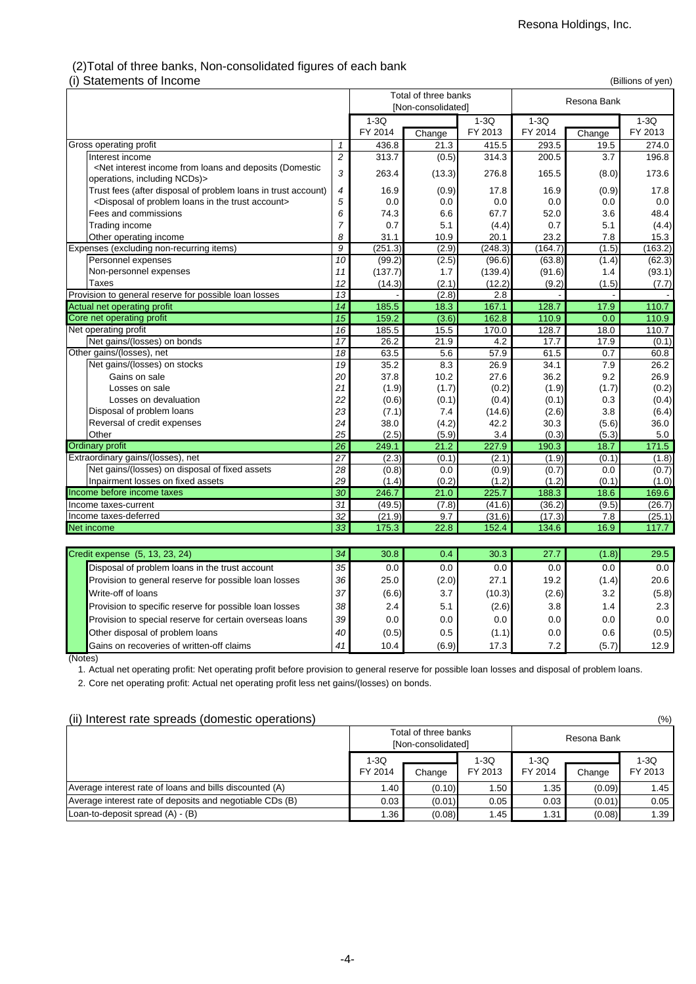### (2)Total of three banks, Non-consolidated figures of each bank (i) Statements of Income (Billions of yen)

| סוווטטוווי וט נווויטוווס (ון                                                                                                                                                             |                 |         | Total of three banks<br>[Non-consolidated] |         |         | ,,,,,,,,,,,,,,,,,,,,,,,,<br>Resona Bank |         |
|------------------------------------------------------------------------------------------------------------------------------------------------------------------------------------------|-----------------|---------|--------------------------------------------|---------|---------|-----------------------------------------|---------|
|                                                                                                                                                                                          |                 | $1-3Q$  |                                            | $1-3Q$  | $1-3Q$  | $1-3Q$                                  |         |
|                                                                                                                                                                                          |                 | FY 2014 | Change                                     | FY 2013 | FY 2014 | Change                                  | FY 2013 |
| Gross operating profit                                                                                                                                                                   | $\mathcal I$    | 436.8   | 21.3                                       | 415.5   | 293.5   | 19.5                                    | 274.0   |
| Interest income                                                                                                                                                                          | $\overline{c}$  | 313.7   | (0.5)                                      | 314.3   | 200.5   | 3.7                                     | 196.8   |
| <net (domestic<="" and="" deposits="" from="" income="" interest="" loans="" td=""><td>3</td><td>263.4</td><td>(13.3)</td><td>276.8</td><td>165.5</td><td>(8.0)</td><td>173.6</td></net> | 3               | 263.4   | (13.3)                                     | 276.8   | 165.5   | (8.0)                                   | 173.6   |
| operations, including NCDs)>                                                                                                                                                             |                 |         |                                            |         |         |                                         |         |
| Trust fees (after disposal of problem loans in trust account)                                                                                                                            | 4               | 16.9    | (0.9)                                      | 17.8    | 16.9    | (0.9)                                   | 17.8    |
| <disposal account="" in="" loans="" of="" problem="" the="" trust=""></disposal>                                                                                                         | 5               | 0.0     | 0.0                                        | 0.0     | 0.0     | 0.0                                     | 0.0     |
| Fees and commissions                                                                                                                                                                     | 6               | 74.3    | 6.6                                        | 67.7    | 52.0    | 3.6                                     | 48.4    |
| Trading income                                                                                                                                                                           | $\overline{7}$  | 0.7     | 5.1                                        | (4.4)   | 0.7     | 5.1                                     | (4.4)   |
| Other operating income                                                                                                                                                                   | 8               | 31.1    | 10.9                                       | 20.1    | 23.2    | 7.8                                     | 15.3    |
| Expenses (excluding non-recurring items)                                                                                                                                                 | $\overline{g}$  | (251.3) | (2.9)                                      | (248.3) | (164.7) | (1.5)                                   | (163.2) |
| Personnel expenses                                                                                                                                                                       | 10              | (99.2)  | (2.5)                                      | (96.6)  | (63.8)  | (1.4)                                   | (62.3)  |
| Non-personnel expenses                                                                                                                                                                   | 11              | (137.7) | 1.7                                        | (139.4) | (91.6)  | 1.4                                     | (93.1)  |
| <b>Taxes</b>                                                                                                                                                                             | 12              | (14.3)  | (2.1)                                      | (12.2)  | (9.2)   | (1.5)                                   | (7.7)   |
| Provision to general reserve for possible loan losses                                                                                                                                    | 13              |         | (2.8)                                      | 2.8     |         |                                         |         |
| Actual net operating profit                                                                                                                                                              | 14              | 185.5   | 18.3                                       | 167.1   | 128.7   | 17.9                                    | 110.7   |
| Core net operating profit                                                                                                                                                                | 15              | 159.2   | (3.6)                                      | 162.8   | 110.9   | 0.0                                     | 110.9   |
| Net operating profit                                                                                                                                                                     | $\overline{16}$ | 185.5   | 15.5                                       | 170.0   | 128.7   | 18.0                                    | 110.7   |
| Net gains/(losses) on bonds                                                                                                                                                              | $\overline{17}$ | 26.2    | 21.9                                       | 4.2     | 17.7    | 17.9                                    | (0.1)   |
| Other gains/(losses), net                                                                                                                                                                | 18              | 63.5    | 5.6                                        | 57.9    | 61.5    | 0.7                                     | 60.8    |
| Net gains/(losses) on stocks                                                                                                                                                             | 19              | 35.2    | 8.3                                        | 26.9    | 34.1    | 7.9                                     | 26.2    |
| Gains on sale                                                                                                                                                                            | 20              | 37.8    | 10.2                                       | 27.6    | 36.2    | 9.2                                     | 26.9    |
| Losses on sale                                                                                                                                                                           | 21              | (1.9)   | (1.7)                                      | (0.2)   | (1.9)   | (1.7)                                   | (0.2)   |
| Losses on devaluation                                                                                                                                                                    | 22              | (0.6)   | (0.1)                                      | (0.4)   | (0.1)   | 0.3                                     | (0.4)   |
| Disposal of problem loans                                                                                                                                                                | 23              | (7.1)   | 7.4                                        | (14.6)  | (2.6)   | 3.8                                     | (6.4)   |
| Reversal of credit expenses                                                                                                                                                              | 24              | 38.0    | (4.2)                                      | 42.2    | 30.3    | (5.6)                                   | 36.0    |
| Other                                                                                                                                                                                    | 25              | (2.5)   | (5.9)                                      | 3.4     | (0.3)   | (5.3)                                   | 5.0     |
| <b>Ordinary profit</b>                                                                                                                                                                   | 26              | 249.1   | 21.2                                       | 227.9   | 190.3   | 18.7                                    | 171.5   |
| Extraordinary gains/(losses), net                                                                                                                                                        | $\overline{27}$ | (2.3)   | (0.1)                                      | (2.1)   | (1.9)   | (0.1)                                   | (1.8)   |
| Net gains/(losses) on disposal of fixed assets                                                                                                                                           | 28              | (0.8)   | 0.0                                        | (0.9)   | (0.7)   | 0.0                                     | (0.7)   |
| Inpairment losses on fixed assets                                                                                                                                                        | 29              | (1.4)   | (0.2)                                      | (1.2)   | (1.2)   | (0.1)                                   | (1.0)   |
| Income before income taxes                                                                                                                                                               | 30              | 246.7   | 21.0                                       | 225.7   | 188.3   | 18.6                                    | 169.6   |
| Income taxes-current                                                                                                                                                                     | $\overline{31}$ | (49.5)  | (7.8)                                      | (41.6)  | (36.2)  | (9.5)                                   | (26.7)  |
| Income taxes-deferred                                                                                                                                                                    | 32              | (21.9)  | 9.7                                        | (31.6)  | (17.3)  | 7.8                                     | (25.1)  |
| <b>Net income</b>                                                                                                                                                                        | 33              | 175.3   | 22.8                                       | 152.4   | 134.6   | 16.9                                    | 117.7   |
|                                                                                                                                                                                          |                 |         |                                            |         |         |                                         |         |

| Credit expense (5, 13, 23, 24)                          | 34              | 30.8                     | 0.4   | 30.3   | 27.7  | (1.8) | 29.5  |
|---------------------------------------------------------|-----------------|--------------------------|-------|--------|-------|-------|-------|
| Disposal of problem loans in the trust account          | 35 <sub>1</sub> | $0.0\,$                  | 0.0   | 0.0    | 0.0   | 0.0   | 0.0   |
| Provision to general reserve for possible loan losses   | 36 <sup>1</sup> | 25.0                     | (2.0) | 27.1   | 19.2  | (1.4) | 20.6  |
| Write-off of loans                                      |                 | (6.6)<br>37 <sup>1</sup> | 3.7   | (10.3) | (2.6) | 3.2   | (5.8) |
| Provision to specific reserve for possible loan losses  | 38 <sup>l</sup> | 2.4                      | 5.1   | (2.6)  | 3.8   | 1.4   | 2.3   |
| Provision to special reserve for certain overseas loans | 39 <sub>l</sub> | 0.0                      | 0.0   | 0.0    | 0.0   | 0.0   | 0.0   |
| Other disposal of problem loans                         | 40              | (0.5)                    | 0.5   | (1.1)  | 0.0   | 0.6   | (0.5) |
| Gains on recoveries of written-off claims               | 41              | 10.4                     | (6.9) | 17.3   | 7.2   | (5.7) | 12.9  |

(Notes)

1. Actual net operating profit: Net operating profit before provision to general reserve for possible loan losses and disposal of problem loans.

2. Core net operating profit: Actual net operating profit less net gains/(losses) on bonds.

### (ii) Interest rate spreads (domestic operations) (%)

|                                                          |                   | Total of three banks<br>[Non-consolidated] |                 |                   | Resona Bank |                   |
|----------------------------------------------------------|-------------------|--------------------------------------------|-----------------|-------------------|-------------|-------------------|
|                                                          | $1-3Q$<br>FY 2014 | Change                                     | 1-3Q<br>FY 2013 | $1-3Q$<br>FY 2014 | Change      | $1-3Q$<br>FY 2013 |
| Average interest rate of loans and bills discounted (A)  | 1.40              | (0.10)                                     | 1.50            | 1.35              | (0.09)      | 1.45              |
| Average interest rate of deposits and negotiable CDs (B) | 0.03              | (0.01)                                     | 0.05            | 0.03              | (0.01)      | 0.05              |
| Loan-to-deposit spread $(A) - (B)$                       | 1.36              | (0.08)                                     | 1.45            | 1.31              | (0.08)      | 1.39              |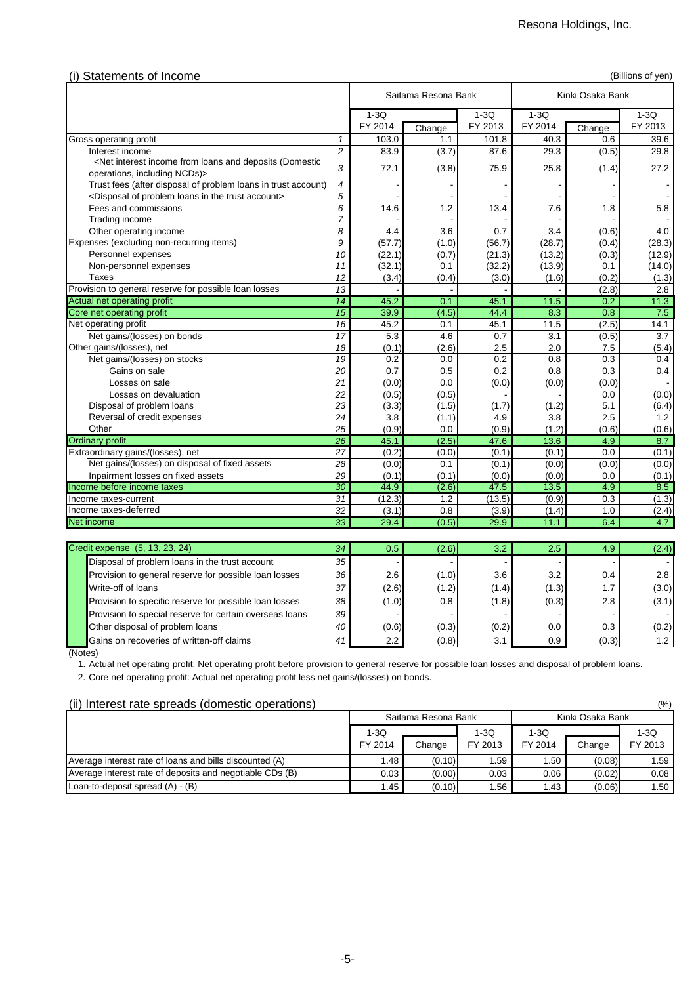| (i) Statements of Income                                                                                                                                                            |                 |         |                     |         |                   |                  | (Billions of yen) |
|-------------------------------------------------------------------------------------------------------------------------------------------------------------------------------------|-----------------|---------|---------------------|---------|-------------------|------------------|-------------------|
|                                                                                                                                                                                     |                 |         | Saitama Resona Bank |         |                   | Kinki Osaka Bank |                   |
|                                                                                                                                                                                     |                 | $1-3Q$  |                     | $1-3Q$  | $1-3Q$            |                  | $1-3Q$            |
|                                                                                                                                                                                     |                 | FY 2014 | Change              | FY 2013 | FY 2014           | Change           | FY 2013           |
| Gross operating profit                                                                                                                                                              | 1               | 103.0   | 1.1                 | 101.8   | 40.3              | 0.6              | 39.6              |
| Interest income                                                                                                                                                                     | $\overline{c}$  | 83.9    | (3.7)               | 87.6    | 29.3              | (0.5)            | 29.8              |
| <net (domestic<="" and="" deposits="" from="" income="" interest="" loans="" td=""><td>3</td><td>72.1</td><td>(3.8)</td><td>75.9</td><td>25.8</td><td>(1.4)</td><td>27.2</td></net> | 3               | 72.1    | (3.8)               | 75.9    | 25.8              | (1.4)            | 27.2              |
| operations, including NCDs)>                                                                                                                                                        |                 |         |                     |         |                   |                  |                   |
| Trust fees (after disposal of problem loans in trust account)                                                                                                                       | 4               |         |                     |         |                   |                  |                   |
| <disposal account="" in="" loans="" of="" problem="" the="" trust=""></disposal>                                                                                                    | 5               |         |                     |         |                   |                  |                   |
| Fees and commissions                                                                                                                                                                | 6               | 14.6    | 1.2                 | 13.4    | 7.6               | 1.8              | 5.8               |
| <b>Trading income</b>                                                                                                                                                               | $\overline{7}$  |         |                     |         |                   |                  |                   |
| Other operating income                                                                                                                                                              | 8               | 4.4     | 3.6                 | 0.7     | 3.4               | (0.6)            | 4.0               |
| Expenses (excluding non-recurring items)                                                                                                                                            | $\overline{g}$  | (57.7)  | (1.0)               | (56.7)  | (28.7)            | (0.4)            | (28.3)            |
| Personnel expenses                                                                                                                                                                  | $\overline{10}$ | (22.1)  | (0.7)               | (21.3)  | (13.2)            | (0.3)            | (12.9)            |
| Non-personnel expenses                                                                                                                                                              | 11              | (32.1)  | 0.1                 | (32.2)  | (13.9)            | 0.1              | (14.0)            |
| <b>Taxes</b>                                                                                                                                                                        | 12              | (3.4)   | (0.4)               | (3.0)   | (1.6)             | (0.2)            | (1.3)             |
| Provision to general reserve for possible loan losses                                                                                                                               | 13              |         |                     |         |                   | (2.8)            | 2.8               |
| Actual net operating profit                                                                                                                                                         | $\overline{14}$ | 45.2    | 0.1                 | 45.1    | $\overline{11.5}$ | 0.2              | 11.3              |
| Core net operating profit                                                                                                                                                           | $\overline{15}$ | 39.9    | (4.5)               | 44.4    | 8.3               | 0.8              | 7.5               |
| Net operating profit                                                                                                                                                                | $\overline{16}$ | 45.2    | 0.1                 | 45.1    | 11.5              | (2.5)            | 14.1              |
| Net gains/(losses) on bonds                                                                                                                                                         | 17              | 5.3     | 4.6                 | 0.7     | 3.1               | (0.5)            | 3.7               |
| Other gains/(losses), net                                                                                                                                                           | $\overline{18}$ | (0.1)   | (2.6)               | 2.5     | 2.0               | 7.5              | (5.4)             |
| Net gains/(losses) on stocks                                                                                                                                                        | 19              | 0.2     | 0.0                 | 0.2     | 0.8               | 0.3              | 0.4               |
| Gains on sale                                                                                                                                                                       | 20              | 0.7     | 0.5                 | 0.2     | 0.8               | 0.3              | 0.4               |
| Losses on sale                                                                                                                                                                      | 21              | (0.0)   | 0.0                 | (0.0)   | (0.0)             | (0.0)            |                   |
| Losses on devaluation                                                                                                                                                               | 22              | (0.5)   | (0.5)               |         |                   | 0.0              | (0.0)             |
| Disposal of problem loans                                                                                                                                                           | 23              | (3.3)   | (1.5)               | (1.7)   | (1.2)             | 5.1              | (6.4)             |
| Reversal of credit expenses                                                                                                                                                         | 24              | 3.8     | (1.1)               | 4.9     | 3.8               | 2.5              | 1.2               |
| Other                                                                                                                                                                               | 25              | (0.9)   | 0.0                 | (0.9)   | (1.2)             | (0.6)            | (0.6)             |
| <b>Ordinary profit</b>                                                                                                                                                              | 26              | 45.1    | (2.5)               | 47.6    | 13.6              | 4.9              | 8.7               |
| Extraordinary gains/(losses), net                                                                                                                                                   | 27              | (0.2)   | (0.0)               | (0.1)   | (0.1)             | 0.0              | (0.1)             |
| Net gains/(losses) on disposal of fixed assets                                                                                                                                      | $\overline{28}$ | (0.0)   | 0.1                 | (0.1)   | (0.0)             | (0.0)            | (0.0)             |
| Inpairment losses on fixed assets                                                                                                                                                   | 29              | (0.1)   | (0.1)               | (0.0)   | (0.0)             | 0.0              | (0.1)             |
| Income before income taxes                                                                                                                                                          | 30              | 44.9    | (2.6)               | 47.5    | 13.5              | 4.9              | 8.5               |
| Income taxes-current                                                                                                                                                                | $\overline{31}$ | (12.3)  | 1.2                 | (13.5)  | (0.9)             | 0.3              | (1.3)             |
| Income taxes-deferred                                                                                                                                                               | $\overline{32}$ | (3.1)   | 0.8                 | (3.9)   | (1.4)             | 1.0              | (2.4)             |
| Net income                                                                                                                                                                          | 33              | 29.4    | (0.5)               | 29.9    | 11.1              | 6.4              | 4.7               |
| Credit expense (5, 13, 23, 24)                                                                                                                                                      | 34              | 0.5     | (2.6)               | 3.2     | 2.5               | 4.9              | (2.4)             |
| Disposal of problem loans in the trust account                                                                                                                                      | 35              |         |                     |         |                   |                  |                   |
|                                                                                                                                                                                     |                 |         |                     |         |                   |                  |                   |

| Credit expense (5, 13, 23, 24)                          | 341             | 0.5 <sub>1</sub> | (2.6) | 3.2.  | 2.5 I | 4.9   | (2.4)         |
|---------------------------------------------------------|-----------------|------------------|-------|-------|-------|-------|---------------|
| Disposal of problem loans in the trust account          | 35 <sub>1</sub> |                  |       |       |       |       |               |
| Provision to general reserve for possible loan losses   | 36 <sup>1</sup> | 2.6              | (1.0) | 3.6   | 3.2   | 0.4   | 2.8           |
| Write-off of loans                                      | 37 <sup>1</sup> | (2.6)            | (1.2) | (1.4) | (1.3) | 1.7   | (3.0)         |
| Provision to specific reserve for possible loan losses  | 38 <sup>1</sup> | (1.0)            | 0.8   | (1.8) | (0.3) | 2.8   | (3.1)         |
| Provision to special reserve for certain overseas loans | 39 <sub>l</sub> |                  |       |       |       |       |               |
| Other disposal of problem loans                         | 40 <sup>1</sup> | (0.6)            | (0.3) | (0.2) | 0.0   | 0.3   | (0.2)         |
| Gains on recoveries of written-off claims               | 41              | $2.2\phantom{0}$ | (0.8) | 3.1   | 0.9   | (0.3) | $1.2^{\circ}$ |

(Notes)

1. Actual net operating profit: Net operating profit before provision to general reserve for possible loan losses and disposal of problem loans.

2. Core net operating profit: Actual net operating profit less net gains/(losses) on bonds.

### (ii) Interest rate spreads (domestic operations) (%)

|                                                          |                   | Saitama Resona Bank |                   |                   | Kinki Osaka Bank |                   |
|----------------------------------------------------------|-------------------|---------------------|-------------------|-------------------|------------------|-------------------|
|                                                          | $1-3Q$<br>FY 2014 | Change              | $1-3Q$<br>FY 2013 | $1-3Q$<br>FY 2014 | Change           | $1-3Q$<br>FY 2013 |
| Average interest rate of loans and bills discounted (A)  | .48               | (0.10)              | 1.59              | 1.50              | (0.08)           | 1.59              |
| Average interest rate of deposits and negotiable CDs (B) | 0.03              | (0.00)              | 0.03              | 0.06              | (0.02)           | 0.08              |
| Loan-to-deposit spread $(A) - (B)$                       | 1.45              | (0.10)              | 1.56              | 1.43              | (0.06)           | 1.50              |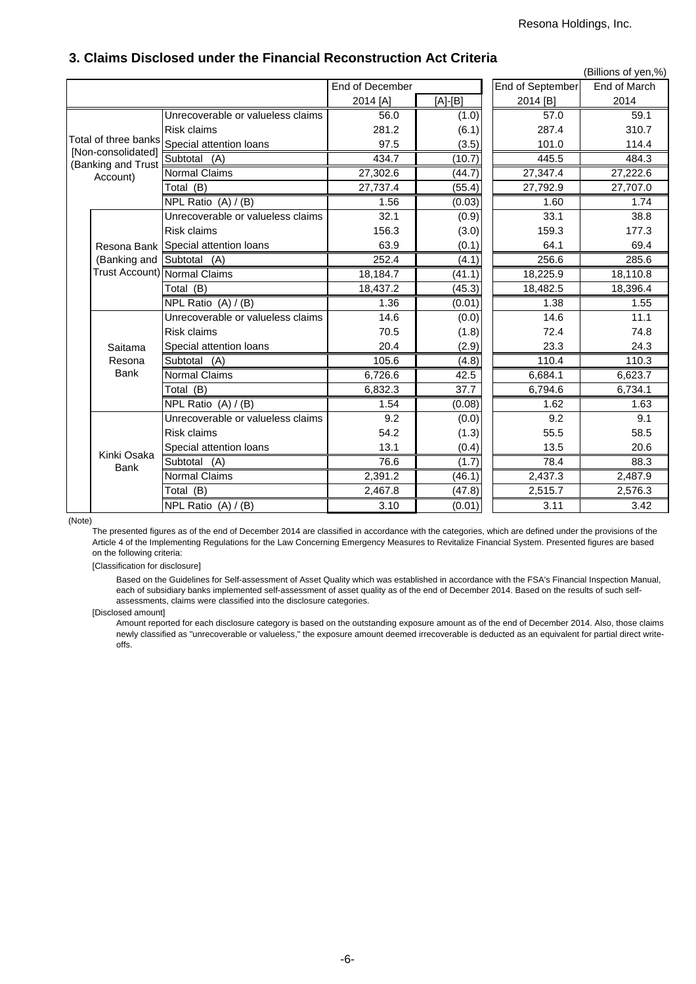|                                                                              |                            |                                   |                        |         |                  | (Billions of yen,%) |
|------------------------------------------------------------------------------|----------------------------|-----------------------------------|------------------------|---------|------------------|---------------------|
|                                                                              |                            |                                   | <b>End of December</b> |         | End of September | End of March        |
|                                                                              |                            |                                   | 2014 [A]               | [A]-[B] | 2014 [B]         | 2014                |
|                                                                              |                            | Unrecoverable or valueless claims | 56.0                   | (1.0)   | 57.0             | 59.1                |
|                                                                              |                            | <b>Risk claims</b>                | 281.2                  | (6.1)   | 287.4            | 310.7               |
| Total of three banks<br>[Non-consolidated]<br>(Banking and Trust<br>Account) |                            | Special attention loans           | 97.5                   | (3.5)   | 101.0            | 114.4               |
|                                                                              |                            | Subtotal (A)                      | 434.7                  | (10.7)  | 445.5            | 484.3               |
|                                                                              |                            | Normal Claims                     | 27,302.6               | (44.7)  | 27,347.4         | 27,222.6            |
|                                                                              |                            | Total (B)                         | 27,737.4               | (55.4)  | 27,792.9         | 27,707.0            |
|                                                                              |                            | NPL Ratio $(A) / (B)$             | 1.56                   | (0.03)  | 1.60             | 1.74                |
|                                                                              |                            | Unrecoverable or valueless claims | 32.1                   | (0.9)   | 33.1             | 38.8                |
|                                                                              |                            | Risk claims                       | 156.3                  | (3.0)   | 159.3            | 177.3               |
|                                                                              | Resona Bank                | Special attention loans           | 63.9                   | (0.1)   | 64.1             | 69.4                |
|                                                                              | (Banking and               | Subtotal (A)                      | 252.4                  | (4.1)   | 256.6            | 285.6               |
|                                                                              |                            | Trust Account) Normal Claims      | 18,184.7               | (41.1)  | 18,225.9         | 18,110.8            |
|                                                                              |                            | Total (B)                         | 18,437.2               | (45.3)  | 18,482.5         | 18,396.4            |
|                                                                              |                            | NPL Ratio $(A) / (B)$             | 1.36                   | (0.01)  | 1.38             | 1.55                |
|                                                                              |                            | Unrecoverable or valueless claims | 14.6                   | (0.0)   | 14.6             | 11.1                |
|                                                                              |                            | <b>Risk claims</b>                | 70.5                   | (1.8)   | 72.4             | 74.8                |
|                                                                              | Saitama                    | Special attention loans           | 20.4                   | (2.9)   | 23.3             | 24.3                |
|                                                                              | Resona                     | Subtotal<br>(A)                   | 105.6                  | (4.8)   | 110.4            | 110.3               |
|                                                                              | <b>Bank</b>                | <b>Normal Claims</b>              | 6,726.6                | 42.5    | 6,684.1          | 6,623.7             |
|                                                                              |                            | Total (B)                         | 6,832.3                | 37.7    | 6,794.6          | 6,734.1             |
|                                                                              |                            | NPL Ratio $(A) / (B)$             | 1.54                   | (0.08)  | 1.62             | 1.63                |
|                                                                              |                            | Unrecoverable or valueless claims | 9.2                    | (0.0)   | 9.2              | 9.1                 |
|                                                                              |                            | <b>Risk claims</b>                | 54.2                   | (1.3)   | 55.5             | 58.5                |
|                                                                              |                            | Special attention loans           | 13.1                   | (0.4)   | 13.5             | 20.6                |
|                                                                              | Kinki Osaka<br><b>Bank</b> | Subtotal<br>(A)                   | 76.6                   | (1.7)   | 78.4             | 88.3                |
|                                                                              |                            | Normal Claims                     | 2,391.2                | (46.1)  | 2,437.3          | 2,487.9             |
|                                                                              |                            | Total (B)                         | 2,467.8                | (47.8)  | 2,515.7          | 2,576.3             |
|                                                                              |                            | NPL Ratio (A) / (B)               | 3.10                   | (0.01)  | 3.11             | 3.42                |

## **3. Claims Disclosed under the Financial Reconstruction Act Criteria**

(Note)

The presented figures as of the end of December 2014 are classified in accordance with the categories, which are defined under the provisions of the Article 4 of the Implementing Regulations for the Law Concerning Emergency Measures to Revitalize Financial System. Presented figures are based on the following criteria:

[Classification for disclosure]

Based on the Guidelines for Self-assessment of Asset Quality which was established in accordance with the FSA's Financial Inspection Manual, each of subsidiary banks implemented self-assessment of asset quality as of the end of December 2014. Based on the results of such selfassessments, claims were classified into the disclosure categories.

[Disclosed amount]

Amount reported for each disclosure category is based on the outstanding exposure amount as of the end of December 2014. Also, those claims newly classified as "unrecoverable or valueless," the exposure amount deemed irrecoverable is deducted as an equivalent for partial direct writeoffs.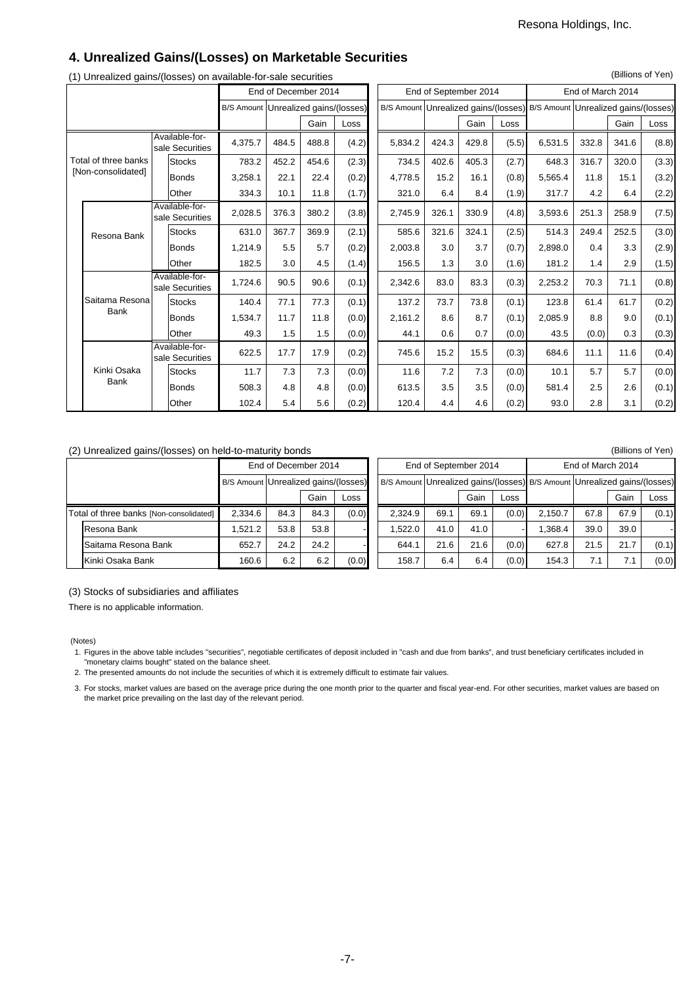(Billions of Yen)

## **4. Unrealized Gains/(Losses) on Marketable Securities**

| $\sqrt{2}$ | ັ                    |  | $-1$ $-1$ $-1$ $-1$               | End of December 2014                 |       |       |       |         | End of September 2014 |       |       | End of March 2014                                                         |       |       |       |  |
|------------|----------------------|--|-----------------------------------|--------------------------------------|-------|-------|-------|---------|-----------------------|-------|-------|---------------------------------------------------------------------------|-------|-------|-------|--|
|            |                      |  |                                   | B/S Amount Unrealized gains/(losses) |       |       |       |         |                       |       |       | B/S Amount Unrealized gains/(losses) B/S Amount Unrealized gains/(losses) |       |       |       |  |
|            |                      |  |                                   |                                      |       | Gain  | Loss  |         |                       | Gain  | Loss  |                                                                           |       | Gain  | Loss  |  |
|            |                      |  | Available-for-<br>sale Securities | 4,375.7                              | 484.5 | 488.8 | (4.2) | 5,834.2 | 424.3                 | 429.8 | (5.5) | 6,531.5                                                                   | 332.8 | 341.6 | (8.8) |  |
|            | Total of three banks |  | <b>Stocks</b>                     | 783.2                                | 452.2 | 454.6 | (2.3) | 734.5   | 402.6                 | 405.3 | (2.7) | 648.3                                                                     | 316.7 | 320.0 | (3.3) |  |
|            | [Non-consolidated]   |  | Bonds                             | 3,258.1                              | 22.1  | 22.4  | (0.2) | 4,778.5 | 15.2                  | 16.1  | (0.8) | 5,565.4                                                                   | 11.8  | 15.1  | (3.2) |  |
|            |                      |  | Other                             | 334.3                                | 10.1  | 11.8  | (1.7) | 321.0   | 6.4                   | 8.4   | (1.9) | 317.7                                                                     | 4.2   | 6.4   | (2.2) |  |
|            |                      |  | Available-for-<br>sale Securities | 2,028.5                              | 376.3 | 380.2 | (3.8) | 2,745.9 | 326.1                 | 330.9 | (4.8) | 3,593.6                                                                   | 251.3 | 258.9 | (7.5) |  |
|            | Resona Bank          |  | <b>Stocks</b>                     | 631.0                                | 367.7 | 369.9 | (2.1) | 585.6   | 321.6                 | 324.1 | (2.5) | 514.3                                                                     | 249.4 | 252.5 | (3.0) |  |
|            |                      |  | Bonds                             | 1,214.9                              | 5.5   | 5.7   | (0.2) | 2,003.8 | 3.0                   | 3.7   | (0.7) | 2,898.0                                                                   | 0.4   | 3.3   | (2.9) |  |
|            |                      |  | Other                             | 182.5                                | 3.0   | 4.5   | (1.4) | 156.5   | 1.3                   | 3.0   | (1.6) | 181.2                                                                     | 1.4   | 2.9   | (1.5) |  |
|            |                      |  | Available-for-<br>sale Securities | 1.724.6                              | 90.5  | 90.6  | (0.1) | 2,342.6 | 83.0                  | 83.3  | (0.3) | 2,253.2                                                                   | 70.3  | 71.1  | (0.8) |  |
|            | Saitama Resona       |  | <b>Stocks</b>                     | 140.4                                | 77.1  | 77.3  | (0.1) | 137.2   | 73.7                  | 73.8  | (0.1) | 123.8                                                                     | 61.4  | 61.7  | (0.2) |  |
|            | <b>Bank</b>          |  | Bonds                             | 1,534.7                              | 11.7  | 11.8  | (0.0) | 2,161.2 | 8.6                   | 8.7   | (0.1) | 2,085.9                                                                   | 8.8   | 9.0   | (0.1) |  |
|            |                      |  | Other                             | 49.3                                 | 1.5   | 1.5   | (0.0) | 44.1    | 0.6                   | 0.7   | (0.0) | 43.5                                                                      | (0.0) | 0.3   | (0.3) |  |
|            |                      |  | Available-for-<br>sale Securities | 622.5                                | 17.7  | 17.9  | (0.2) | 745.6   | 15.2                  | 15.5  | (0.3) | 684.6                                                                     | 11.1  | 11.6  | (0.4) |  |
|            | Kinki Osaka          |  | <b>Stocks</b>                     | 11.7                                 | 7.3   | 7.3   | (0.0) | 11.6    | 7.2                   | 7.3   | (0.0) | 10.1                                                                      | 5.7   | 5.7   | (0.0) |  |
|            | <b>Bank</b>          |  | Bonds                             | 508.3                                | 4.8   | 4.8   | (0.0) | 613.5   | 3.5                   | 3.5   | (0.0) | 581.4                                                                     | 2.5   | 2.6   | (0.1) |  |
|            |                      |  | Other                             | 102.4                                | 5.4   | 5.6   | (0.2) | 120.4   | 4.4                   | 4.6   | (0.2) | 93.0                                                                      | 2.8   | 3.1   | (0.2) |  |

### (1) Unrealized gains/(losses) on available-for-sale securities

#### (2) Unrealized gains/(losses) on held-to-maturity bonds (Billions of Yen) (Billions of Yen)

|                                         | $\sim$ $\sim$       |         |                      |                                      |       |      |         |                       |      |       |                                                                           |      |      |       |  |
|-----------------------------------------|---------------------|---------|----------------------|--------------------------------------|-------|------|---------|-----------------------|------|-------|---------------------------------------------------------------------------|------|------|-------|--|
|                                         |                     |         | End of December 2014 |                                      |       |      |         | End of September 2014 |      |       | End of March 2014                                                         |      |      |       |  |
|                                         |                     |         |                      | B/S Amount Unrealized gains/(losses) |       |      |         |                       |      |       | B/S Amount Unrealized gains/(losses) B/S Amount Unrealized gains/(losses) |      |      |       |  |
|                                         | Gain<br>Loss        |         |                      |                                      |       | Gain | Loss    |                       |      | Gain  | Loss                                                                      |      |      |       |  |
| Total of three banks [Non-consolidated] |                     | 2.334.6 | 84.3                 | 84.3                                 | (0.0) |      | 2.324.9 | 69.1                  | 69.1 | (0.0) | 2.150.7                                                                   | 67.8 | 67.9 | (0.1) |  |
|                                         | Resona Bank         | .521.2  | 53.8                 | 53.8                                 |       |      | .522.0  | 41.0                  | 41.0 |       | .368.4                                                                    | 39.0 | 39.0 |       |  |
|                                         | Saitama Resona Bank | 652.7   | 24.2                 | 24.2                                 |       |      | 644.1   | 21.6                  | 21.6 | (0.0) | 627.8                                                                     | 21.5 | 21.7 | (0.1) |  |
|                                         | Kinki Osaka Bank    | 160.6   | 6.2                  | 6.2                                  | (0.0) |      | 158.7   | 6.4                   | 6.4  | (0.0) | 154.3                                                                     | 7.1  | 7.1  | (0.0) |  |

(3) Stocks of subsidiaries and affiliates

There is no applicable information.

#### (Notes)

1. Figures in the above table includes "securities", negotiable certificates of deposit included in "cash and due from banks", and trust beneficiary certificates included in "monetary claims bought" stated on the balance sheet.

2. The presented amounts do not include the securities of which it is extremely difficult to estimate fair values.

3. For stocks, market values are based on the average price during the one month prior to the quarter and fiscal year-end. For other securities, market values are based on the market price prevailing on the last day of the relevant period.